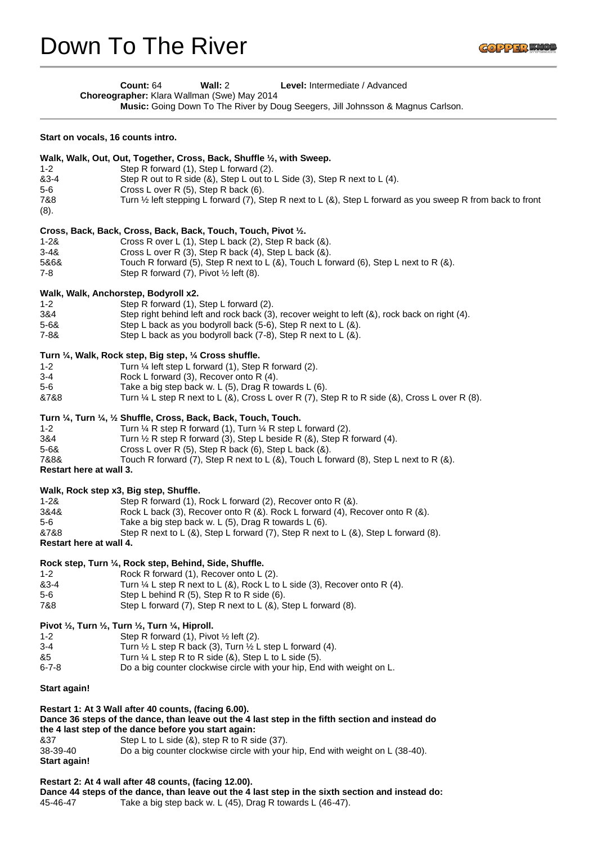| Count: 64                                   | Wall: $2$ | <b>Level:</b> Intermediate / Advanced                                                  |
|---------------------------------------------|-----------|----------------------------------------------------------------------------------------|
| Choreographer: Klara Wallman (Swe) May 2014 |           |                                                                                        |
|                                             |           | <b>Music:</b> Going Down To The River by Doug Seegers, Jill Johnsson & Magnus Carlson. |

#### **Start on vocals, 16 counts intro.**

| $1 - 2$                     | Walk, Walk, Out, Out, Together, Cross, Back, Shuffle 1/2, with Sweep.                                                                                                                                                                                                                                                                                           |
|-----------------------------|-----------------------------------------------------------------------------------------------------------------------------------------------------------------------------------------------------------------------------------------------------------------------------------------------------------------------------------------------------------------|
| &3-4                        | Step R forward (1), Step L forward (2).                                                                                                                                                                                                                                                                                                                         |
| 5-6                         | Step R out to R side $(8)$ , Step L out to L Side $(3)$ , Step R next to L $(4)$ .                                                                                                                                                                                                                                                                              |
| 7&8                         | Cross L over R $(5)$ , Step R back $(6)$ .                                                                                                                                                                                                                                                                                                                      |
| (8).                        | Turn $\frac{1}{2}$ left stepping L forward (7), Step R next to L (&), Step L forward as you sweep R from back to front                                                                                                                                                                                                                                          |
| 1-2&<br>3-4&<br>5&6&<br>7-8 | Cross, Back, Back, Cross, Back, Back, Touch, Touch, Pivot 1/2.<br>Cross R over L $(1)$ , Step L back $(2)$ , Step R back $(8)$ .<br>Cross L over R $(3)$ , Step R back $(4)$ , Step L back $(8)$ .<br>Touch R forward (5), Step R next to L $(8)$ , Touch L forward $(6)$ , Step L next to R $(8)$ .<br>Step R forward $(7)$ , Pivot $\frac{1}{2}$ left $(8)$ . |

# **Walk, Walk, Anchorstep, Bodyroll x2.**

| $1 - 2$ | Step R forward (1), Step L forward (2).                                                       |
|---------|-----------------------------------------------------------------------------------------------|
| 3&4     | Step right behind left and rock back (3), recover weight to left (8), rock back on right (4). |
| 5-6&    | Step L back as you bodyroll back (5-6), Step R next to L (&).                                 |
| 7-8&    | Step L back as you bodyroll back $(7-8)$ , Step R next to L $(8)$ .                           |
|         |                                                                                               |

### **Turn ¼, Walk, Rock step, Big step, ¼ Cross shuffle.**

| $1 - 2$ | Turn $\frac{1}{4}$ left step L forward (1), Step R forward (2).                                          |
|---------|----------------------------------------------------------------------------------------------------------|
| $3 - 4$ | Rock L forward (3), Recover onto R (4).                                                                  |
| 5-6     | Take a big step back w. L $(5)$ , Drag R towards L $(6)$ .                                               |
| &7&8    | Turn $\frac{1}{2}$ L step R next to L (&), Cross L over R (7), Step R to R side (&), Cross L over R (8). |

# **Turn ¼, Turn ¼, ½ Shuffle, Cross, Back, Back, Touch, Touch.**

| Bastant leave at mail 0 |                                                                                             |
|-------------------------|---------------------------------------------------------------------------------------------|
| 7&8&                    | Touch R forward (7), Step R next to L $(8)$ , Touch L forward (8), Step L next to R $(8)$ . |
| $5 - 68$                | Cross L over R $(5)$ , Step R back $(6)$ , Step L back $(8)$ .                              |
| 3&4                     | Turn $\frac{1}{2}$ R step R forward (3), Step L beside R (&), Step R forward (4).           |
| $1 - 2$                 | Turn $\frac{1}{4}$ R step R forward (1), Turn $\frac{1}{4}$ R step L forward (2).           |

#### **Restart here at wall 3.**

# **Walk, Rock step x3, Big step, Shuffle.**

| 1-2&                    | Step R forward (1), Rock L forward (2), Recover onto R (&).                                     |
|-------------------------|-------------------------------------------------------------------------------------------------|
| 3&4&                    | Rock L back (3), Recover onto R $(8)$ . Rock L forward (4), Recover onto R $(8)$ .              |
| 5-6                     | Take a big step back w. $L(5)$ , Drag R towards $L(6)$ .                                        |
| &7&8                    | Step R next to L $(8)$ , Step L forward $(7)$ , Step R next to L $(8)$ , Step L forward $(8)$ . |
| Restart here at wall 4. |                                                                                                 |

### **Rock step, Turn ¼, Rock step, Behind, Side, Shuffle.**

| $1 - 2$ | Rock R forward (1). Recover onto L (2).                                              |
|---------|--------------------------------------------------------------------------------------|
| &3-4    | Turn $\frac{1}{4}$ L step R next to L (&), Rock L to L side (3), Recover onto R (4). |
| $5-6$   | Step L behind R $(5)$ , Step R to R side $(6)$ .                                     |
| 7&8     | Step L forward $(7)$ , Step R next to L $(8)$ , Step L forward $(8)$ .               |

#### **Pivot ½, Turn ½, Turn ½, Turn ¼, Hiproll.**

| $1 - 2$ | Step R forward (1), Pivot $\frac{1}{2}$ left (2). |
|---------|---------------------------------------------------|
|---------|---------------------------------------------------|

- 3-4 Turn  $\frac{1}{2}$  L step R back (3), Turn  $\frac{1}{2}$  L step L forward (4).
- $&5$  Turn  $\frac{1}{4}$  L step R to R side ( $&8$ ), Step L to L side ( $5$ ).
- 6-7-8 Do a big counter clockwise circle with your hip, End with weight on L.

#### **Start again!**

# **Restart 1: At 3 Wall after 40 counts, (facing 6.00). Dance 36 steps of the dance, than leave out the 4 last step in the fifth section and instead do the 4 last step of the dance before you start again:**  8.37 Step L to L side (&), step R to R side (37).<br>38-39-40 Do a big counter clockwise circle with your

Do a big counter clockwise circle with your hip, End with weight on L (38-40). **Start again!**

### **Restart 2: At 4 wall after 48 counts, (facing 12.00).**

```
Dance 44 steps of the dance, than leave out the 4 last step in the sixth section and instead do:
45-46-47 Take a big step back w. L (45), Drag R towards L (46-47).
```